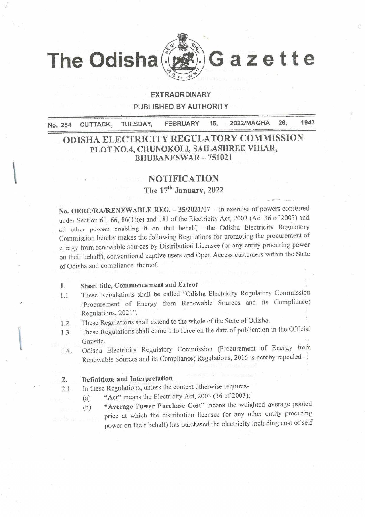

# **EXTRAORDINARY** PUBLISHED BY AUTHORITY

1943 2022/MAGHA 26. **FEBRUARY** 15. **TUESDAY,** No. 254 CUTTACK,

# ODISHA ELECTRICITY REGULATORY COMMISSION PLOT NO.4, CHUNOKOLI, SAILASHREE VIHAR, **BHUBANESWAR-751021**

#### **NOTIFICATION**

The 17<sup>th</sup> January, 2022

No. OERC/RA/RENEWABLE REG. - 35/2021/07 - In exercise of powers conferred under Section 61, 66, 86(1)(e) and 181 of the Electricity Act, 2003 (Act 36 of 2003) and all other powers enabling it on that behalf, the Odisha Electricity Regulatory Commission hereby makes the following Regulations for promoting the procurement of energy from renewable sources by Distribution Licensee (or any entity procuring power on their behalf), conventional captive users and Open Access customers within the State of Odisha and compliance thereof.

- Short title, Commencement and Extent 1.
- These Regulations shall be called "Odisha Electricity Regulatory Commission  $1.1$ (Procurement of Energy from Renewable Sources and its Compliance) Regulations, 2021".
- These Regulations shall extend to the whole of the State of Odisha.  $1.2$
- These Regulations shall come into force on the date of publication in the Official  $1.3$ Gazette.
- Odisha Electricity Regulatory Commission (Procurement of Energy from  $1.4.$ Renewable Sources and its Compliance) Regulations, 2015 is hereby repealed.

#### Definitions and Interpretation  $2.$

- In these Regulations, unless the context otherwise requires- $2.1$ 
	- "Act" means the Electricity Act, 2003 (36 of 2003);  $(a)$ 
		- "Average Power Purchase Cost" means the weighted average pooled  $(b)$ price at which the distribution licensee (or any other entity procuring power on their behalf) has purchased the electricity including cost of self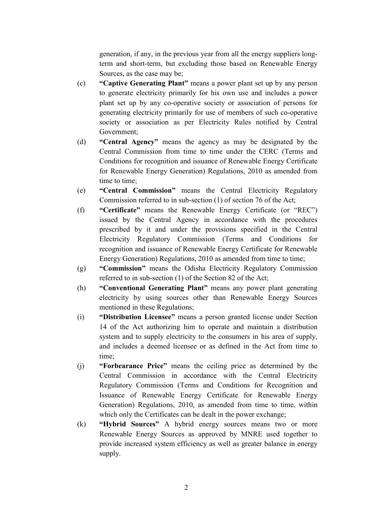generation, if any, in the previous year from all the energy suppliers longterm and short-term, but excluding those based on Renewable Energy Sources, as the case may be;

- (c) **Captive Generating Plant**" means a power plant set up by any person to generate electricity primarily for his own use and includes a power plant set up by any co-operative society or association of persons for generating electricity primarily for use of members of such co-operative society or association as per Electricity Rules notified by Central Government;
- (d) **Central Agency** means the agency as may be designated by the Central Commission from time to time under the CERC (Terms and Conditions for recognition and issuance of Renewable Energy Certificate for Renewable Energy Generation) Regulations, 2010 as amended from time to time;
- (e) **"Central Commission"** means the Central Electricity Regulatory Commission referred to in sub-section (1) of section 76 of the Act;
- (f) **"Certificate"** means the Renewable Energy Certificate (or "REC") issued by the Central Agency in accordance with the procedures prescribed by it and under the provisions specified in the Central Electricity Regulatory Commission (Terms and Conditions for recognition and issuance of Renewable Energy Certificate for Renewable Energy Generation) Regulations, 2010 as amended from time to time;
- (g) **"Commission"** means the Odisha Electricity Regulatory Commission referred to in sub-section (1) of the Section 82 of the Act;
- (h) **Conventional Generating Plant**" means any power plant generating electricity by using sources other than Renewable Energy Sources mentioned in these Regulations;
- (i) **"Distribution Licensee"** means a person granted license under Section 14 of the Act authorizing him to operate and maintain a distribution system and to supply electricity to the consumers in his area of supply, and includes a deemed licensee or as defined in the Act from time to time;
- (j) **Forbearance Price**" means the ceiling price as determined by the Central Commission in accordance with the Central Electricity Regulatory Commission (Terms and Conditions for Recognition and Issuance of Renewable Energy Certificate for Renewable Energy Generation) Regulations, 2010, as amended from time to time, within which only the Certificates can be dealt in the power exchange;
- (k) **Hybrid Sources**" A hybrid energy sources means two or more Renewable Energy Sources as approved by MNRE used together to provide increased system efficiency as well as greater balance in energy supply.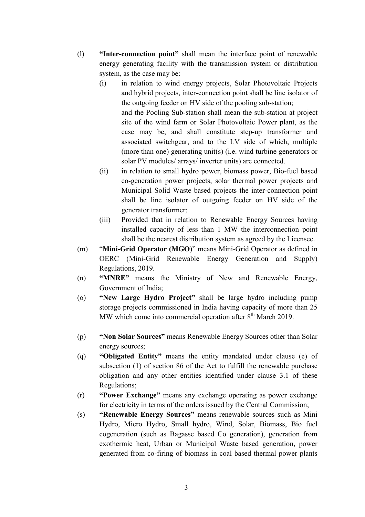- (1) **Inter-connection point**" shall mean the interface point of renewable energy generating facility with the transmission system or distribution system, as the case may be:
	- (i) in relation to wind energy projects, Solar Photovoltaic Projects and hybrid projects, inter-connection point shall be line isolator of the outgoing feeder on HV side of the pooling sub-station; and the Pooling Sub-station shall mean the sub-station at project site of the wind farm or Solar Photovoltaic Power plant, as the case may be, and shall constitute step-up transformer and associated switchgear, and to the LV side of which, multiple (more than one) generating unit(s) (i.e. wind turbine generators or solar PV modules/ arrays/ inverter units) are connected.
	- (ii) in relation to small hydro power, biomass power, Bio-fuel based co-generation power projects, solar thermal power projects and Municipal Solid Waste based projects the inter-connection point shall be line isolator of outgoing feeder on HV side of the generator transformer;
	- (iii) Provided that in relation to Renewable Energy Sources having installed capacity of less than 1 MW the interconnection point shall be the nearest distribution system as agreed by the Licensee.
- (m) **"Mini-Grid Operator (MGO)"** means Mini-Grid Operator as defined in OERC (Mini-Grid Renewable Energy Generation and Supply) Regulations, 2019.
- (n) **"MNRE"** means the Ministry of New and Renewable Energy, Government of India;
- (o) **Wew Large Hydro Project**" shall be large hydro including pump storage projects commissioned in India having capacity of more than 25 MW which come into commercial operation after  $8<sup>th</sup>$  March 2019.
- (p) **When Solar Sources**" means Renewable Energy Sources other than Solar energy sources;
- (q) **"Obligated Entity"** means the entity mandated under clause (e) of subsection (1) of section 86 of the Act to fulfill the renewable purchase obligation and any other entities identified under clause 3.1 of these Regulations;
- (r) **Power Exchange**" means any exchange operating as power exchange for electricity in terms of the orders issued by the Central Commission;
- (s) **Renewable Energy Sources**" means renewable sources such as Mini Hydro, Micro Hydro, Small hydro, Wind, Solar, Biomass, Bio fuel cogeneration (such as Bagasse based Co generation), generation from exothermic heat, Urban or Municipal Waste based generation, power generated from co-firing of biomass in coal based thermal power plants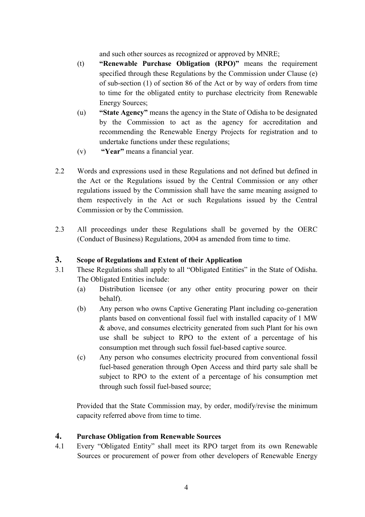and such other sources as recognized or approved by MNRE;

- (t) **Renewable Purchase Obligation (RPO)**" means the requirement specified through these Regulations by the Commission under Clause (e) of sub-section (1) of section 86 of the Act or by way of orders from time to time for the obligated entity to purchase electricity from Renewable Energy Sources;
- (u) **State Agency**" means the agency in the State of Odisha to be designated by the Commission to act as the agency for accreditation and recommending the Renewable Energy Projects for registration and to undertake functions under these regulations;
- (v) **"Year"** means a financial year.
- 2.2 Words and expressions used in these Regulations and not defined but defined in the Act or the Regulations issued by the Central Commission or any other regulations issued by the Commission shall have the same meaning assigned to them respectively in the Act or such Regulations issued by the Central Commission or by the Commission.
- 2.3 All proceedings under these Regulations shall be governed by the OERC (Conduct of Business) Regulations, 2004 as amended from time to time.

# **3. Scope of Regulations and Extent of their Application**

- 3.1 These Regulations shall apply to all "Obligated Entities" in the State of Odisha. The Obligated Entities include:
	- (a) Distribution licensee (or any other entity procuring power on their behalf).
	- (b) Any person who owns Captive Generating Plant including co-generation plants based on conventional fossil fuel with installed capacity of 1 MW & above, and consumes electricity generated from such Plant for his own use shall be subject to RPO to the extent of a percentage of his consumption met through such fossil fuel-based captive source.
	- (c) Any person who consumes electricity procured from conventional fossil fuel-based generation through Open Access and third party sale shall be subject to RPO to the extent of a percentage of his consumption met through such fossil fuel-based source;

Provided that the State Commission may, by order, modify/revise the minimum capacity referred above from time to time.

# **4. Purchase Obligation from Renewable Sources**

4.1 Every "Obligated Entity" shall meet its RPO target from its own Renewable Sources or procurement of power from other developers of Renewable Energy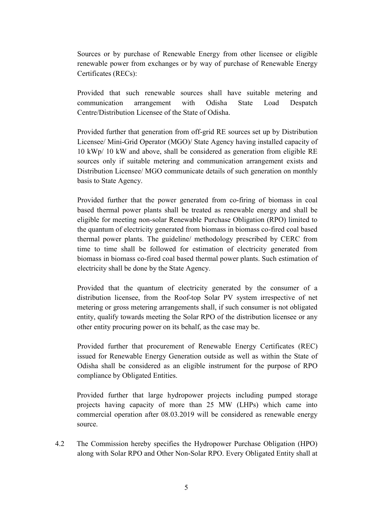Sources or by purchase of Renewable Energy from other licensee or eligible renewable power from exchanges or by way of purchase of Renewable Energy Certificates (RECs):

Provided that such renewable sources shall have suitable metering and communication arrangement with Odisha State Load Despatch Centre/Distribution Licensee of the State of Odisha.

Provided further that generation from off-grid RE sources set up by Distribution Licensee/ Mini-Grid Operator (MGO)/ State Agency having installed capacity of 10 kWp/ 10 kW and above, shall be considered as generation from eligible RE sources only if suitable metering and communication arrangement exists and Distribution Licensee/ MGO communicate details of such generation on monthly basis to State Agency.

Provided further that the power generated from co-firing of biomass in coal based thermal power plants shall be treated as renewable energy and shall be eligible for meeting non-solar Renewable Purchase Obligation (RPO) limited to the quantum of electricity generated from biomass in biomass co-fired coal based thermal power plants. The guideline/ methodology prescribed by CERC from time to time shall be followed for estimation of electricity generated from biomass in biomass co-fired coal based thermal power plants. Such estimation of electricity shall be done by the State Agency.

Provided that the quantum of electricity generated by the consumer of a distribution licensee, from the Roof-top Solar PV system irrespective of net metering or gross metering arrangements shall, if such consumer is not obligated entity, qualify towards meeting the Solar RPO of the distribution licensee or any other entity procuring power on its behalf, as the case may be.

Provided further that procurement of Renewable Energy Certificates (REC) issued for Renewable Energy Generation outside as well as within the State of Odisha shall be considered as an eligible instrument for the purpose of RPO compliance by Obligated Entities.

Provided further that large hydropower projects including pumped storage projects having capacity of more than 25 MW (LHPs) which came into commercial operation after 08.03.2019 will be considered as renewable energy source.

4.2 The Commission hereby specifies the Hydropower Purchase Obligation (HPO) along with Solar RPO and Other Non-Solar RPO. Every Obligated Entity shall at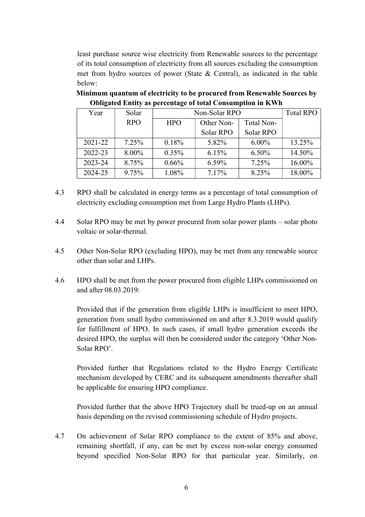least purchase source wise electricity from Renewable sources to the percentage of its total consumption of electricity from all sources excluding the consumption met from hydro sources of power (State & Central), as indicated in the table below:

| Year    | Solar      | Non-Solar RPO |            |            | <b>Total RPO</b> |
|---------|------------|---------------|------------|------------|------------------|
|         | <b>RPO</b> | <b>HPO</b>    | Other Non- | Total Non- |                  |
|         |            |               | Solar RPO  | Solar RPO  |                  |
| 2021-22 | 7.25%      | 0.18%         | 5.82%      | $6.00\%$   | 13.25%           |
| 2022-23 | $8.00\%$   | 0.35%         | 6.15%      | 6.50%      | 14.50%           |
| 2023-24 | 8.75%      | 0.66%         | $6.59\%$   | 7.25%      | 16.00%           |
| 2024-25 | 9.75%      | 1.08%         | 7.17%      | 8.25%      | 18.00%           |

 **Minimum quantum of electricity to be procured from Renewable Sources by Obligated Entity as percentage of total Consumption in KWh** 

- 4.3 RPO shall be calculated in energy terms as a percentage of total consumption of electricity excluding consumption met from Large Hydro Plants (LHPs).
- 4.4 Solar RPO may be met by power procured from solar power plants solar photo voltaic or solar-thermal.
- 4.5 Other Non-Solar RPO (excluding HPO), may be met from any renewable source other than solar and LHPs.
- 4.6 HPO shall be met from the power procured from eligible LHPs commissioned on and after 08.03.2019:

 Provided that if the generation from eligible LHPs is insufficient to meet HPO, generation from small hydro commissioned on and after 8.3.2019 would qualify for fulfillment of HPO. In such cases, if small hydro generation exceeds the desired HPO, the surplus will then be considered under the category 'Other Non-Solar RPO'.

Provided further that Regulations related to the Hydro Energy Certificate mechanism developed by CERC and its subsequent amendments thereafter shall be applicable for ensuring HPO compliance.

Provided further that the above HPO Trajectory shall be trued-up on an annual basis depending on the revised commissioning schedule of Hydro projects.

4.7 On achievement of Solar RPO compliance to the extent of 85% and above, remaining shortfall, if any, can be met by excess non-solar energy consumed beyond specified Non-Solar RPO for that particular year. Similarly, on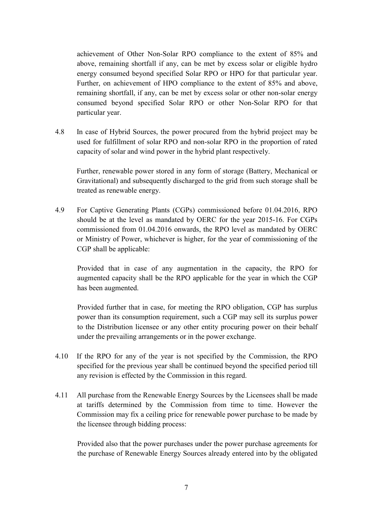achievement of Other Non-Solar RPO compliance to the extent of 85% and above, remaining shortfall if any, can be met by excess solar or eligible hydro energy consumed beyond specified Solar RPO or HPO for that particular year. Further, on achievement of HPO compliance to the extent of 85% and above, remaining shortfall, if any, can be met by excess solar or other non-solar energy consumed beyond specified Solar RPO or other Non-Solar RPO for that particular year.

4.8 In case of Hybrid Sources, the power procured from the hybrid project may be used for fulfillment of solar RPO and non-solar RPO in the proportion of rated capacity of solar and wind power in the hybrid plant respectively.

 Further, renewable power stored in any form of storage (Battery, Mechanical or Gravitational) and subsequently discharged to the grid from such storage shall be treated as renewable energy.

4.9 For Captive Generating Plants (CGPs) commissioned before 01.04.2016, RPO should be at the level as mandated by OERC for the year 2015-16. For CGPs commissioned from 01.04.2016 onwards, the RPO level as mandated by OERC or Ministry of Power, whichever is higher, for the year of commissioning of the CGP shall be applicable:

Provided that in case of any augmentation in the capacity, the RPO for augmented capacity shall be the RPO applicable for the year in which the CGP has been augmented.

Provided further that in case, for meeting the RPO obligation, CGP has surplus power than its consumption requirement, such a CGP may sell its surplus power to the Distribution licensee or any other entity procuring power on their behalf under the prevailing arrangements or in the power exchange.

- 4.10 If the RPO for any of the year is not specified by the Commission, the RPO specified for the previous year shall be continued beyond the specified period till any revision is effected by the Commission in this regard.
- 4.11 All purchase from the Renewable Energy Sources by the Licensees shall be made at tariffs determined by the Commission from time to time. However the Commission may fix a ceiling price for renewable power purchase to be made by the licensee through bidding process:

Provided also that the power purchases under the power purchase agreements for the purchase of Renewable Energy Sources already entered into by the obligated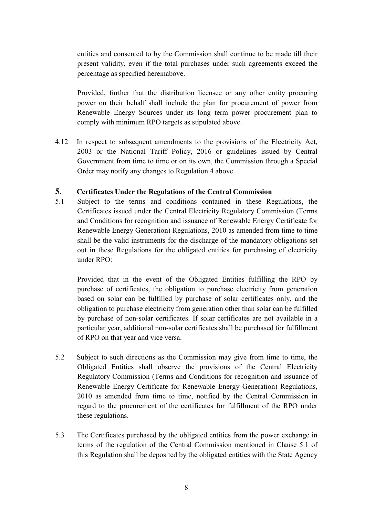entities and consented to by the Commission shall continue to be made till their present validity, even if the total purchases under such agreements exceed the percentage as specified hereinabove.

Provided, further that the distribution licensee or any other entity procuring power on their behalf shall include the plan for procurement of power from Renewable Energy Sources under its long term power procurement plan to comply with minimum RPO targets as stipulated above.

4.12 In respect to subsequent amendments to the provisions of the Electricity Act, 2003 or the National Tariff Policy, 2016 or guidelines issued by Central Government from time to time or on its own, the Commission through a Special Order may notify any changes to Regulation 4 above.

### **5. Certificates Under the Regulations of the Central Commission**

5.1 Subject to the terms and conditions contained in these Regulations, the Certificates issued under the Central Electricity Regulatory Commission (Terms and Conditions for recognition and issuance of Renewable Energy Certificate for Renewable Energy Generation) Regulations, 2010 as amended from time to time shall be the valid instruments for the discharge of the mandatory obligations set out in these Regulations for the obligated entities for purchasing of electricity under RPO:

Provided that in the event of the Obligated Entities fulfilling the RPO by purchase of certificates, the obligation to purchase electricity from generation based on solar can be fulfilled by purchase of solar certificates only, and the obligation to purchase electricity from generation other than solar can be fulfilled by purchase of non-solar certificates. If solar certificates are not available in a particular year, additional non-solar certificates shall be purchased for fulfillment of RPO on that year and vice versa.

- 5.2 Subject to such directions as the Commission may give from time to time, the Obligated Entities shall observe the provisions of the Central Electricity Regulatory Commission (Terms and Conditions for recognition and issuance of Renewable Energy Certificate for Renewable Energy Generation) Regulations, 2010 as amended from time to time, notified by the Central Commission in regard to the procurement of the certificates for fulfillment of the RPO under these regulations.
- 5.3 The Certificates purchased by the obligated entities from the power exchange in terms of the regulation of the Central Commission mentioned in Clause 5.1 of this Regulation shall be deposited by the obligated entities with the State Agency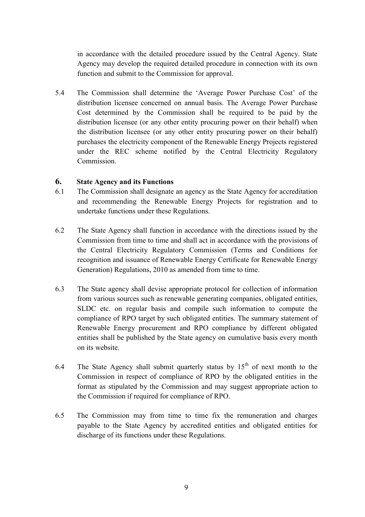in accordance with the detailed procedure issued by the Central Agency. State Agency may develop the required detailed procedure in connection with its own function and submit to the Commission for approval.

5.4 The Commission shall determine the 'Average Power Purchase Cost' of the distribution licensee concerned on annual basis. The Average Power Purchase Cost determined by the Commission shall be required to be paid by the distribution licensee (or any other entity procuring power on their behalf) when the distribution licensee (or any other entity procuring power on their behalf) purchases the electricity component of the Renewable Energy Projects registered under the REC scheme notified by the Central Electricity Regulatory **Commission** 

#### **6. State Agency and its Functions**

- 6.1 The Commission shall designate an agency as the State Agency for accreditation and recommending the Renewable Energy Projects for registration and to undertake functions under these Regulations.
- 6.2 The State Agency shall function in accordance with the directions issued by the Commission from time to time and shall act in accordance with the provisions of the Central Electricity Regulatory Commission (Terms and Conditions for recognition and issuance of Renewable Energy Certificate for Renewable Energy Generation) Regulations, 2010 as amended from time to time.
- 6.3 The State agency shall devise appropriate protocol for collection of information from various sources such as renewable generating companies, obligated entities, SLDC etc. on regular basis and compile such information to compute the compliance of RPO target by such obligated entities. The summary statement of Renewable Energy procurement and RPO compliance by different obligated entities shall be published by the State agency on cumulative basis every month on its website.
- 6.4 The State Agency shall submit quarterly status by  $15<sup>th</sup>$  of next month to the Commission in respect of compliance of RPO by the obligated entities in the format as stipulated by the Commission and may suggest appropriate action to the Commission if required for compliance of RPO.
- 6.5 The Commission may from time to time fix the remuneration and charges payable to the State Agency by accredited entities and obligated entities for discharge of its functions under these Regulations.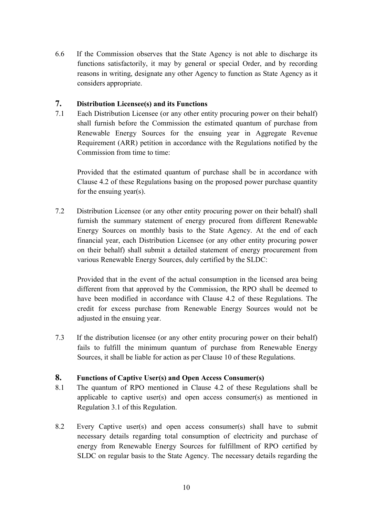6.6 If the Commission observes that the State Agency is not able to discharge its functions satisfactorily, it may by general or special Order, and by recording reasons in writing, designate any other Agency to function as State Agency as it considers appropriate.

#### **7. Distribution Licensee(s) and its Functions**

7.1 Each Distribution Licensee (or any other entity procuring power on their behalf) shall furnish before the Commission the estimated quantum of purchase from Renewable Energy Sources for the ensuing year in Aggregate Revenue Requirement (ARR) petition in accordance with the Regulations notified by the Commission from time to time:

Provided that the estimated quantum of purchase shall be in accordance with Clause 4.2 of these Regulations basing on the proposed power purchase quantity for the ensuing year(s).

7.2 Distribution Licensee (or any other entity procuring power on their behalf) shall furnish the summary statement of energy procured from different Renewable Energy Sources on monthly basis to the State Agency. At the end of each financial year, each Distribution Licensee (or any other entity procuring power on their behalf) shall submit a detailed statement of energy procurement from various Renewable Energy Sources, duly certified by the SLDC:

Provided that in the event of the actual consumption in the licensed area being different from that approved by the Commission, the RPO shall be deemed to have been modified in accordance with Clause 4.2 of these Regulations. The credit for excess purchase from Renewable Energy Sources would not be adjusted in the ensuing year.

7.3 If the distribution licensee (or any other entity procuring power on their behalf) fails to fulfill the minimum quantum of purchase from Renewable Energy Sources, it shall be liable for action as per Clause 10 of these Regulations.

### **8. Functions of Captive User(s) and Open Access Consumer(s)**

- 8.1 The quantum of RPO mentioned in Clause 4.2 of these Regulations shall be applicable to captive user(s) and open access consumer(s) as mentioned in Regulation 3.1 of this Regulation.
- 8.2 Every Captive user(s) and open access consumer(s) shall have to submit necessary details regarding total consumption of electricity and purchase of energy from Renewable Energy Sources for fulfillment of RPO certified by SLDC on regular basis to the State Agency. The necessary details regarding the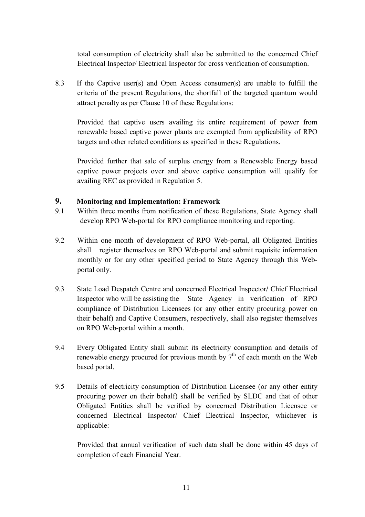total consumption of electricity shall also be submitted to the concerned Chief Electrical Inspector/ Electrical Inspector for cross verification of consumption.

8.3 If the Captive user(s) and Open Access consumer(s) are unable to fulfill the criteria of the present Regulations, the shortfall of the targeted quantum would attract penalty as per Clause 10 of these Regulations:

Provided that captive users availing its entire requirement of power from renewable based captive power plants are exempted from applicability of RPO targets and other related conditions as specified in these Regulations.

Provided further that sale of surplus energy from a Renewable Energy based captive power projects over and above captive consumption will qualify for availing REC as provided in Regulation 5.

## **9. Monitoring and Implementation: Framework**

- 9.1 Within three months from notification of these Regulations, State Agency shall develop RPO Web-portal for RPO compliance monitoring and reporting.
- 9.2 Within one month of development of RPO Web-portal, all Obligated Entities shall register themselves on RPO Web-portal and submit requisite information monthly or for any other specified period to State Agency through this Webportal only.
- 9.3 State Load Despatch Centre and concerned Electrical Inspector**/** Chief Electrical Inspector who will be assisting the State Agency in verification of RPO compliance of Distribution Licensees (or any other entity procuring power on their behalf) and Captive Consumers, respectively, shall also register themselves on RPO Web-portal within a month.
- 9.4 Every Obligated Entity shall submit its electricity consumption and details of renewable energy procured for previous month by  $7<sup>th</sup>$  of each month on the Web based portal.
- 9.5 Details of electricity consumption of Distribution Licensee (or any other entity procuring power on their behalf) shall be verified by SLDC and that of other Obligated Entities shall be verified by concerned Distribution Licensee or concerned Electrical Inspector/ Chief Electrical Inspector, whichever is applicable:

Provided that annual verification of such data shall be done within 45 days of completion of each Financial Year.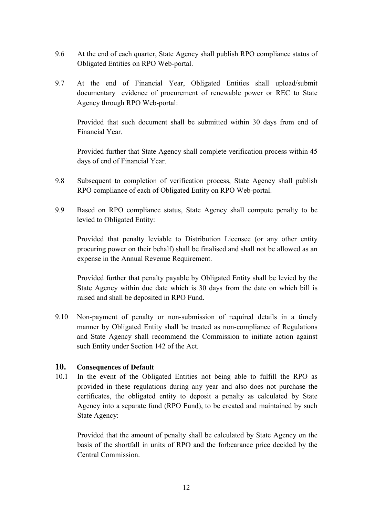- 9.6 At the end of each quarter, State Agency shall publish RPO compliance status of Obligated Entities on RPO Web-portal.
- 9.7 At the end of Financial Year, Obligated Entities shall upload/submit documentary evidence of procurement of renewable power or REC to State Agency through RPO Web-portal:

Provided that such document shall be submitted within 30 days from end of Financial Year.

Provided further that State Agency shall complete verification process within 45 days of end of Financial Year.

- 9.8 Subsequent to completion of verification process, State Agency shall publish RPO compliance of each of Obligated Entity on RPO Web-portal.
- 9.9 Based on RPO compliance status, State Agency shall compute penalty to be levied to Obligated Entity:

Provided that penalty leviable to Distribution Licensee (or any other entity procuring power on their behalf) shall be finalised and shall not be allowed as an expense in the Annual Revenue Requirement.

Provided further that penalty payable by Obligated Entity shall be levied by the State Agency within due date which is 30 days from the date on which bill is raised and shall be deposited in RPO Fund.

9.10 Non-payment of penalty or non-submission of required details in a timely manner by Obligated Entity shall be treated as non-compliance of Regulations and State Agency shall recommend the Commission to initiate action against such Entity under Section 142 of the Act.

### **10. Consequences of Default**

10.1 In the event of the Obligated Entities not being able to fulfill the RPO as provided in these regulations during any year and also does not purchase the certificates, the obligated entity to deposit a penalty as calculated by State Agency into a separate fund (RPO Fund), to be created and maintained by such State Agency:

Provided that the amount of penalty shall be calculated by State Agency on the basis of the shortfall in units of RPO and the forbearance price decided by the Central Commission.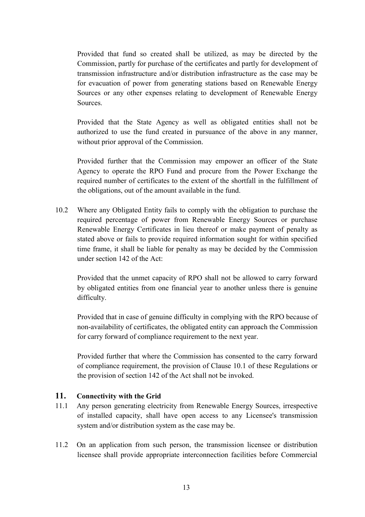Provided that fund so created shall be utilized, as may be directed by the Commission, partly for purchase of the certificates and partly for development of transmission infrastructure and/or distribution infrastructure as the case may be for evacuation of power from generating stations based on Renewable Energy Sources or any other expenses relating to development of Renewable Energy Sources.

Provided that the State Agency as well as obligated entities shall not be authorized to use the fund created in pursuance of the above in any manner, without prior approval of the Commission.

Provided further that the Commission may empower an officer of the State Agency to operate the RPO Fund and procure from the Power Exchange the required number of certificates to the extent of the shortfall in the fulfillment of the obligations, out of the amount available in the fund.

10.2 Where any Obligated Entity fails to comply with the obligation to purchase the required percentage of power from Renewable Energy Sources or purchase Renewable Energy Certificates in lieu thereof or make payment of penalty as stated above or fails to provide required information sought for within specified time frame, it shall be liable for penalty as may be decided by the Commission under section 142 of the Act:

Provided that the unmet capacity of RPO shall not be allowed to carry forward by obligated entities from one financial year to another unless there is genuine difficulty.

Provided that in case of genuine difficulty in complying with the RPO because of non-availability of certificates, the obligated entity can approach the Commission for carry forward of compliance requirement to the next year.

Provided further that where the Commission has consented to the carry forward of compliance requirement, the provision of Clause 10.1 of these Regulations or the provision of section 142 of the Act shall not be invoked.

### **11. Connectivity with the Grid**

- 11.1 Any person generating electricity from Renewable Energy Sources, irrespective of installed capacity, shall have open access to any Licensee's transmission system and/or distribution system as the case may be.
- 11.2 On an application from such person, the transmission licensee or distribution licensee shall provide appropriate interconnection facilities before Commercial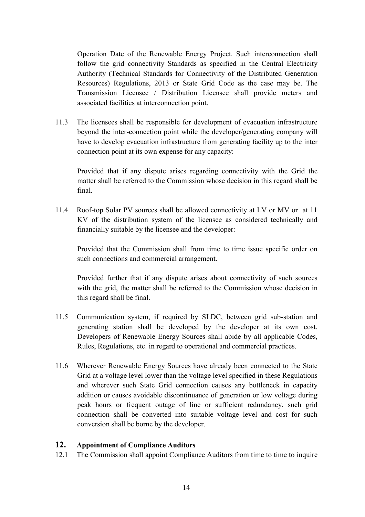Operation Date of the Renewable Energy Project. Such interconnection shall follow the grid connectivity Standards as specified in the Central Electricity Authority (Technical Standards for Connectivity of the Distributed Generation Resources) Regulations, 2013 or State Grid Code as the case may be. The Transmission Licensee / Distribution Licensee shall provide meters and associated facilities at interconnection point.

11.3 The licensees shall be responsible for development of evacuation infrastructure beyond the inter-connection point while the developer/generating company will have to develop evacuation infrastructure from generating facility up to the inter connection point at its own expense for any capacity:

Provided that if any dispute arises regarding connectivity with the Grid the matter shall be referred to the Commission whose decision in this regard shall be final.

11.4 Roof-top Solar PV sources shall be allowed connectivity at LV or MV or at 11 KV of the distribution system of the licensee as considered technically and financially suitable by the licensee and the developer:

Provided that the Commission shall from time to time issue specific order on such connections and commercial arrangement.

Provided further that if any dispute arises about connectivity of such sources with the grid, the matter shall be referred to the Commission whose decision in this regard shall be final.

- 11.5 Communication system, if required by SLDC, between grid sub-station and generating station shall be developed by the developer at its own cost. Developers of Renewable Energy Sources shall abide by all applicable Codes, Rules, Regulations, etc. in regard to operational and commercial practices.
- 11.6 Wherever Renewable Energy Sources have already been connected to the State Grid at a voltage level lower than the voltage level specified in these Regulations and wherever such State Grid connection causes any bottleneck in capacity addition or causes avoidable discontinuance of generation or low voltage during peak hours or frequent outage of line or sufficient redundancy, such grid connection shall be converted into suitable voltage level and cost for such conversion shall be borne by the developer.

## **12. Appointment of Compliance Auditors**

12.1 The Commission shall appoint Compliance Auditors from time to time to inquire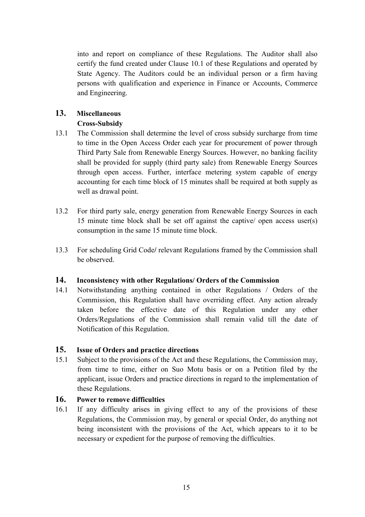into and report on compliance of these Regulations. The Auditor shall also certify the fund created under Clause 10.1 of these Regulations and operated by State Agency. The Auditors could be an individual person or a firm having persons with qualification and experience in Finance or Accounts, Commerce and Engineering.

# **13. Miscellaneous**

# **Cross-Subsidy**

- 13.1 The Commission shall determine the level of cross subsidy surcharge from time to time in the Open Access Order each year for procurement of power through Third Party Sale from Renewable Energy Sources. However, no banking facility shall be provided for supply (third party sale) from Renewable Energy Sources through open access. Further, interface metering system capable of energy accounting for each time block of 15 minutes shall be required at both supply as well as drawal point.
- 13.2 For third party sale, energy generation from Renewable Energy Sources in each 15 minute time block shall be set off against the captive/ open access user(s) consumption in the same 15 minute time block.
- 13.3 For scheduling Grid Code**/** relevant Regulations framed by the Commission shall be observed.

# **14. Inconsistency with other Regulations/ Orders of the Commission**

14.1 Notwithstanding anything contained in other Regulations / Orders of the Commission, this Regulation shall have overriding effect. Any action already taken before the effective date of this Regulation under any other Orders/Regulations of the Commission shall remain valid till the date of Notification of this Regulation.

# **15. Issue of Orders and practice directions**

15.1 Subject to the provisions of the Act and these Regulations, the Commission may, from time to time, either on Suo Motu basis or on a Petition filed by the applicant, issue Orders and practice directions in regard to the implementation of these Regulations.

# **16. Power to remove difficulties**

16.1 If any difficulty arises in giving effect to any of the provisions of these Regulations, the Commission may, by general or special Order, do anything not being inconsistent with the provisions of the Act, which appears to it to be necessary or expedient for the purpose of removing the difficulties.